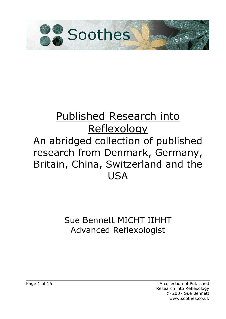

## Published Research into **Reflexology** An abridged collection of published research from Denmark, Germany, Britain, China, Switzerland and the **USA**

### Sue Bennett MICHT IIHHT Advanced Reflexologist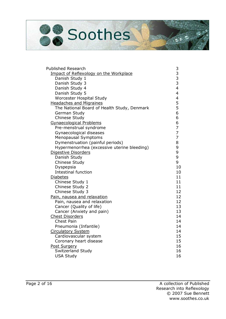# Soothes

| <b>Published Research</b>                   |                                            |
|---------------------------------------------|--------------------------------------------|
| Impact of Reflexology on the Workplace      |                                            |
| Danish Study 1                              |                                            |
| Danish Study 3                              | 33334                                      |
| Danish Study 4                              |                                            |
| Danish Study 5                              | $\overline{\mathbf{4}}$                    |
| Worcester Hospital Study                    |                                            |
| <b>Headaches and Migraines</b>              |                                            |
| The National Board of Health Study, Denmark | $\begin{array}{c} 4 \\ 5 \\ 5 \end{array}$ |
| German Study                                | 6                                          |
| Chinese Study                               | 6                                          |
| <b>Gynaecological Problems</b>              | 6                                          |
| Pre-menstrual syndrome                      | $\overline{7}$                             |
| Gynaecological diseases                     | $\overline{7}$                             |
| <b>Menopausal Symptoms</b>                  | $\overline{7}$                             |
| Dymenstruation (painful periods)            | 8                                          |
| Hypermenorrhea (excessive uterine bleeding) | 9                                          |
| Digestive Disorders                         | 9                                          |
| Danish Study                                | 9                                          |
| Chinese Study                               | 9                                          |
| Dyspepsia                                   | 10                                         |
| <b>Intestinal function</b>                  | 10                                         |
| <b>Diabetes</b>                             | 11                                         |
| Chinese Study 1                             | 11                                         |
| Chinese Study 2                             | 11                                         |
| Chinese Study 3                             | 12                                         |
| Pain, nausea and relaxation                 | 12                                         |
| Pain, nausea and relaxation                 | 12                                         |
| Cancer (Quality of life)                    | 13                                         |
| Cancer (Anxiety and pain)                   | 13                                         |
| <b>Chest Disorders</b>                      | 14                                         |
| <b>Chest Pain</b>                           | 14                                         |
| Pneumonia (Infantile)                       | 14                                         |
| <b>Circulatory System</b>                   | 14                                         |
| Cardiovascular system                       | 15                                         |
| Coronary heart disease                      | 15                                         |
| Post Surgery                                | 16                                         |
| Switzerland Study                           | 16                                         |
| <b>USA Study</b>                            | 16                                         |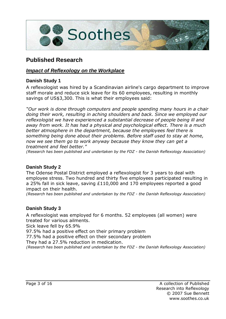

#### **Published Research**

#### **Impact of Reflexology on the Workplace**

#### **Danish Study 1**

A reflexologist was hired by a Scandinavian airline's cargo department to improve staff morale and reduce sick leave for its 60 employees, resulting in monthly savings of US\$3,300. This is what their employees said:

"Our work is done through computers and people spending many hours in a chair doing their work, resulting in aching shoulders and back. Since we employed our reflexologist we have experienced a substantial decrease of people being ill and away from work. It has had a physical and psychological effect. There is a much better atmosphere in the department, because the employees feel there is something being done about their problems. Before staff used to stay at home, now we see them go to work anyway because they know they can get a treatment and feel better."

(Research has been published and undertaken by the FDZ - the Danish Reflexology Association)

#### **Danish Study 2**

The Odense Postal District employed a reflexologist for 3 years to deal with employee stress. Two hundred and thirty five employees participated resulting in a 25% fall in sick leave, saving £110,000 and 170 employees reported a good impact on their health.

(Research has been published and undertaken by the FDZ - the Danish Reflexology Association)

#### **Danish Study 3**

A reflexologist was employed for 6 months. 52 employees (all women) were treated for various ailments.

Sick leave fell by 65.9%

97.5% had a positive effect on their primary problem

77.5% had a positive effect on their secondary problem

They had a 27.5% reduction in medication.

(Research has been published and undertaken by the FDZ - the Danish Reflexology Association)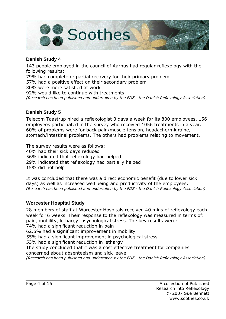

#### **Danish Study 4**

143 people employed in the council of Aarhus had regular reflexology with the following results:

79% had complete or partial recovery for their primary problem

57% had a positive effect on their secondary problem

30% were more satisfied at work

92% would like to continue with treatments.

(Research has been published and undertaken by the FDZ - the Danish Reflexology Association)

#### **Danish Study 5**

Telecom Taastrup hired a reflexologist 3 days a week for its 800 employees. 156 employees participated in the survey who received 1056 treatments in a year. 60% of problems were for back pain/muscle tension, headache/migraine, stomach/intestinal problems. The others had problems relating to movement.

The survey results were as follows: 40% had their sick days reduced 56% indicated that reflexology had helped 29% indicated that reflexology had partially helped 15% did not help

It was concluded that there was a direct economic benefit (due to lower sick days) as well as increased well being and productivity of the employees. (Research has been published and undertaken by the FDZ - the Danish Reflexology Association)

#### **Worcester Hospital Study**

28 members of staff at Worcester Hospitals received 40 mins of reflexology each week for 6 weeks. Their response to the reflexology was measured in terms of: pain, mobility, lethargy, psychological stress. The key results were: 74% had a significant reduction in pain 62.5% had a significant improvement in mobility 55% had a significant improvement in psychological stress 53% had a significant reduction in lethargy The study concluded that it was a cost effective treatment for companies concerned about absenteeism and sick leave. (Research has been published and undertaken by the FDZ - the Danish Reflexology Association)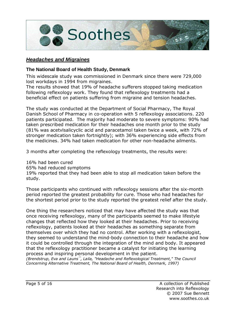

#### **Headaches and Migraines**

#### **The National Board of Health Study, Denmark**

This widescale study was commissioned in Denmark since there were 729,000 lost workdays in 1994 from migraines.

The results showed that 19% of headache sufferers stopped taking medication following reflexology work. They found that reflexology treatments had a beneficial effect on patients suffering from migraine and tension headaches.

The study was conducted at the Department of Social Pharmacy, The Royal Danish School of Pharmacy in co-operation with 5 reflexology associations. 220 patients participated. The majority had moderate to severe symptoms: 90% had taken prescribed medication for their headaches one month prior to the study (81% was acetvlsalicyclic acid and paracetamol taken twice a week, with 72% of stronger medication taken fortnightly); with 36% experiencing side effects from the medicines. 34% had taken medication for other non-headache ailments.

3 months after completing the reflexology treatments, the results were:

16% had been cured 65% had reduced symptoms 19% reported that they had been able to stop all medication taken before the study.

Those participants who continued with reflexology sessions after the six-month period reported the greatest probability for cure. Those who had headaches for the shortest period prior to the study reported the greatest relief after the study.

One thing the researchers noticed that may have affected the study was that once receiving reflexology, many of the participants seemed to make lifestyle changes that reflected how they looked at their headaches. Prior to receiving reflexology, patients looked at their headaches as something separate from themselves over which they had no control. After working with a reflexologist, they seemed to understand the mind-body connection to their headache and how it could be controlled through the integration of the mind and body. It appeared that the reflexology practitioner became a catalyst for initiating the learning process and inspiring personal development in the patient.

(Brendstrup, Eva and Launs<sup>-</sup>, Laila, "Headache and Reflexological Treatment," The Council Concerning Alternative Treatment, The National Board of Health, Denmark, 1997)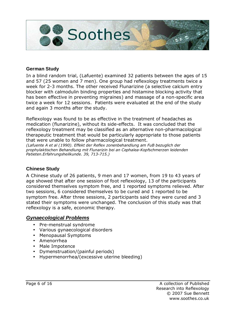

#### **German Study**

In a blind random trial, (Lafuente) examined 32 patients between the ages of 15 and 57 (25 women and 7 men). One group had reflexology treatments twice a week for 2-3 months. The other received Flunarizine (a selective calcium entry blocker with calmodulin binding properties and histamine blocking activity that has been effective in preventing migraines) and massage of a non-specific area twice a week for 12 sessions. Patients were evaluated at the end of the study and again 3 months after the study.

Reflexology was found to be as effective in the treatment of headaches as medication (flunarizine), without its side-effects. It was concluded that the reflexology treatment may be classified as an alternative non-pharmacological therapeutic treatment that would be particularly appropriate to those patients that were unable to follow pharmacological treatment.

(Lafuente A et al (1990). Effekt der Reflex zonenbehandlung am FuB bezuglich der prophylaktischen Behandlung mit Flunarizin bei an Cephalea-Kopfschmerzen leidenden Patieten.Erfahrungsheilkunde. 39, 713-715.)

#### **Chinese Study**

A Chinese study of 26 patients, 9 men and 17 women, from 19 to 43 years of age showed that after one session of foot reflexology, 13 of the participants considered themselves symptom free, and 1 reported symptoms relieved. After two sessions, 6 considered themselves to be cured and 1 reported to be symptom free. After three sessions, 2 participants said they were cured and 3 stated their symptoms were unchanged. The conclusion of this study was that reflexology is a safe, economic therapy.

#### **Gynaecological Problems**

- Pre-menstrual syndrome
- Various gynaecological disorders
- Menopausal Symptoms
- Amenorrhea
- Male Impotence
- Dymenstruation/(painful periods)
- Hypermenorrhea/(excessive uterine bleeding)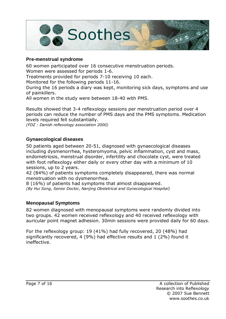

#### **Pre-menstrual syndrome**

60 women participated over 16 consecutive menstruation periods. Women were assessed for periods 1-6. Treatments provided for periods 7-10 receiving 10 each. Monitored for the following periods 11-16. During the 16 periods a diary was kept, monitoring sick days, symptoms and use of painkillers.

All women in the study were between 18-40 with PMS.

Results showed that 3-4 reflexology sessions per menstruation period over 4 periods can reduce the number of PMS days and the PMS symptoms. Medication levels required fell substantially.

(FDZ - Danish reflexology association 2000)

#### **Gynaecological diseases**

50 patients aged between 20-51, diagnosed with gynaecological diseases including dysmenorrhea, hysteromyoma, pelvic inflammation, cyst and mass, endometriosis, menstrual disorder, infertility and chocolate cyst, were treated with foot reflexology either daily or every other day with a minimum of 10 sessions, up to 2 years.

42 (84%) of patients symptoms completely disappeared, there was normal menstruation with no dysmenorrhea.

8 (16%) of patients had symptoms that almost disappeared. (By Hui Song, Senior Doctor, Nanjing Obstetrical and Gynecological Hospital)

#### **Menopausal Symptoms**

82 women diagnosed with menopausal symptoms were randomly divided into two groups. 42 women received reflexology and 40 received reflexology with auricular point magnet adhesion. 30min sessions were provided daily for 60 days.

For the reflexology group: 19 (41%) had fully recovered, 20 (48%) had significantly recovered, 4 (9%) had effective results and 1 (2%) found it ineffective.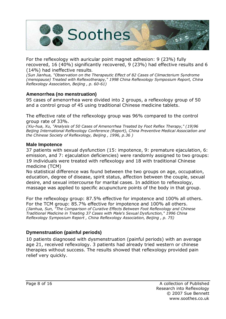

For the reflexology with auricular point magnet adhesion: 9 (23%) fully recovered, 16 (40%) significantly recovered, 9 (23%) had effective results and 6 (14%) had ineffective results.

(Sun Jianhua, "Observation on the Therapeutic Effect of 82 Cases of Climacterium Syndrome (menopause) Treated with Reflexotherapy," 1998 China Reflexology Symposium Report, China Reflexology Association, Beijing , p. 60-61)

#### **Amenorrhea (no menstruation)**

95 cases of amenorrhea were divided into 2 groups, a reflexology group of 50 and a control group of 45 using traditional Chinese medicine tablets.

The effective rate of the reflexology group was 96% compared to the control group rate of 33%.

(Xiu-hua, Xu, "Analysis of 50 Cases of Amenorrhea Treated by Foot Reflex Therapy," (19)96 Beijing International Reflexology Conference (Report), China Preventive Medical Association and the Chinese Society of Reflexology, Beijing , 1996, p.36 )

#### **Male Impotence**

37 patients with sexual dysfunction (15: impotence, 9: premature ejaculation, 6: emission, and 7: ejaculation deficiencies) were randomly assigned to two groups: 19 individuals were treated with reflexology and 18 with traditional Chinese medicine (TCM)

No statistical difference was found between the two groups on age, occupation, education, degree of disease, spirit status, affection between the couple, sexual desire, and sexual intercourse for marital cases. In addition to reflexology, massage was applied to specific acupuncture points of the body in that group.

For the reflexology group: 87.5% effective for impotence and 100% all others. For the TCM group: 85.7% effective for impotence and 100% all others. (Jianhua, Sun, "The Comparison of Curative Effects Between Foot Reflexology and Chinese Traditional Medicine in Treating 37 Cases with Male's Sexual Dysfunction," 1996 China Reflexology Symposium Report , China Reflexology Association, Beijing , p. 75)

#### **Dymenstruation (painful periods)**

10 patients diagnosed with dysmenstruation (painful periods) with an average age 21, received reflexology. 3 patients had already tried western or chinese therapies without success. The results showed that reflexology provided pain relief very quickly.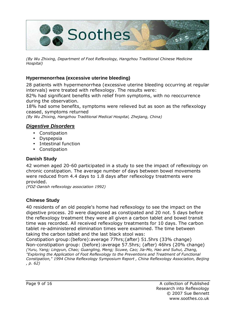

(By Wu Zhixing, Department of Foot Reflexology, Hangzhou Traditional Chinese Medicine Hospital)

#### **Hypermenorrhea (excessive uterine bleeding)**

28 patients with hypermenorrhea (excessive uterine bleeding occurring at regular intervals) were treated with reflexology. The results were:

82% had significant benefits with relief from symptoms, with no reoccurrence during the observation.

18% had some benefits, symptoms were relieved but as soon as the reflexology ceased, symptoms returned

(By Wu Zhixing, Hangzhou Traditional Medical Hospital, Zhejiang, China)

#### **Digestive Disorders**

- Constipation
- Dyspepsia
- Intestinal function
- Constipation

#### **Danish Study**

42 women aged 20-60 participated in a study to see the impact of reflexology on chronic constipation. The average number of days between bowel movements were reduced from 4.4 days to 1.8 days after reflexology treatments were provided.

(FDZ-Danish reflexology association 1992)

#### **Chinese Study**

40 residents of an old people's home had reflexology to see the impact on the digestive process. 20 were diagnosed as constipated and 20 not. 5 days before the reflexology treatment they were all given a carbon tablet and bowel transit time was recorded. All received reflexology treatments for 10 days. The carbon tablet re-administered elimination times were examined. The time between taking the carbon tablet and the last black stool was:

Constipation group:(before):average 77hrs;(after) 51.5hrs (33% change) Non-constipation group: (before):average 57.5hrs; (after) 46hrs (20% change) (Yuru, Yang; Lingyun, Chao; Guangling, Meng; Scuwe, Cao; Jia-Mo, Hao and Suhui, Zhang, "Exploring the Application of Foot Reflexology to the Preventions and Treatment of Functional Constipation," 1994 China Reflexology Symposium Report , China Reflexology Association, Beijing , p. 62)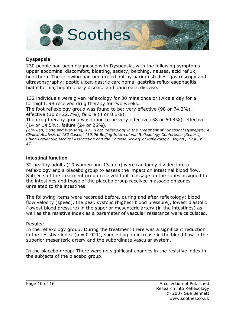

#### **Dyspepsia**

230 people had been diagnosed with Dyspepsia, with the following symptoms: upper abdominal discomfort, bloating, satiety, belching, nausea, acid reflux, heartburn. The following had been ruled out by barium studies, gastroscopy and ultrasonsgraphy: peptic ulcer, gastric carcinoma, gastritis reflux esophagitis, hiatal hernia, hepatobiliary disease and pancreatic disease.

132 individuals were given reflexology for 30 mins once or twice a day for a fortnight. 98 received drug therapy for two weeks.

The foot reflexology group was found to be: very effective (98 or 74.2%), effective (30 or 22.7%), failure (4 or 0.3%).

The drug therapy group was found to be very effective (58 or 60.4%), effective (14 or 14.5%), failure (24 or 25%).

(Zhi-wen, Gong and Wei-song, Xin, "Foot Reflexology in the Treatment of Functional Dyspepsia: A Clinical Analysis of 132 Cases," (19)96 Beijing International Reflexology Conference (Report), China Preventive Medical Association and the Chinese Society of Reflexology, Beijing , 1996, p. 37)

#### **Intestinal function**

32 healthy adults (19 women and 13 men) were randomly divided into a reflexology and a placebo group to assess the impact on intestinal blood flow. Subjects of the treatment group received foot massage on the zones assigned to the intestines and those of the placebo group received massage on zones unrelated to the intestines.

The following items were recorded before, during and after reflexology: blood flow velocity (speed), the peak systolic (highest blood pressure), lowest diastolic (lowest blood pressure) in the superior mesenteric artery (in the intestines) as well as the resistive index as a parameter of vascular resistance were calculated.

Results:

In the reflexology group: During the treatment there was a significant reduction in the resistive index ( $p = 0.021$ ), suggesting an increase in the blood flow in the superior mesenteric artery and the subordinate vascular system.

In the placebo group: There were no significant changes in the resistive index in the subjects of the placebo group.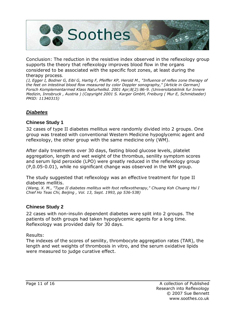

Conclusion: The reduction in the resistive index observed in the reflexology group supports the theory that reflexology improves blood flow in the organs considered to be associated with the specific foot zones, at least during the therapy process.

(J, Egger I, Bodner G, Eibl G, Hartig F, Pfeiffer KP, Herold M., "Influence of reflex zone therapy of the feet on intestinal blood flow measured by color Doppler sonography," [Article in German] Forsch Komplementarmed Klass Naturheilkd. 2001 Apr;8(2):86-9. (Universitatsklinik fur Innere Medizin, Innsbruck , Austria ) (Copyright 2001 S. Karger GmbH, Freiburg ( Mur E, Schmidseder) PMID: 11340315)

#### **Diabetes**

#### **Chinese Study 1**

32 cases of type II diabetes mellitus were randomly divided into 2 groups. One group was treated with conventional Western Medicine hypoglycemic agent and reflexology, the other group with the same medicine only (WM).

After daily treatments over 30 days, fasting blood glucose levels, platelet aggregation, length and wet weight of the thrombus, senility symptom scores and serum lipid peroxide (LPO) were greatly reduced in the reflexology group (P,0.05-0.01), while no significant change was observed in the WM group.

The study suggested that reflexology was an effective treatment for type II diabetes mellitis.

(Wang, X. M., "Type II diabetes mellitus with foot reflexotherapy," Chuang Koh Chuang Hsi I Chief Ho Teas Chi, Beijing , Vol. 13, Sept. 1993, pp 536-538)

#### **Chinese Study 2**

22 cases with non-insulin dependent diabetes were split into 2 groups. The patients of both groups had taken hypoglycemic agents for a long time. Reflexology was provided daily for 30 days.

Results:

The indexes of the scores of senility, thrombocyte aggregation rates (TAR), the length and wet weights of thrombosis in vitro, and the serum oxidative lipids were measured to judge curative effect.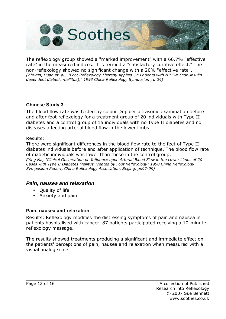

The reflexology group showed a "marked improvement" with a 66.7% "effective rate" in the measured indices. It is termed a "satisfactory curative effect." The non-reflexology showed no significant change with a 20% "effective rate". (Zhi-qin, Duan et. al., "Foot Reflexology Therapy Applied On Patients with NIDDM (non-insulin dependent diabetic mellitus)," 1993 China Reflexology Symposium, p.24)

#### **Chinese Study 3**

The blood flow rate was tested by colour Doppler ultrasonic examination before and after foot reflexology for a treatment group of 20 individuals with Type II diabetes and a control group of 15 individuals with no Type II diabetes and no diseases affecting arterial blood flow in the lower limbs.

#### Results:

There were significant differences in the blood flow rate to the feet of Type II diabetes individuals before and after application of technique. The blood flow rate of diabetic individuals was lower than those in the control group. (Ying Ma, "Clinical Observation on Influence upon Arterial Blood Flow in the Lower Limbs of 20 Cases with Type II Diabetes Mellitus Treated by Foot Reflexology" 1998 China Reflexology Symposium Report, China Reflexology Association, Beijing, pp97-99)

#### **Pain, nausea and relaxation**

- Quality of life
- Anxiety and pain

#### **Pain, nausea and relaxation**

Results: Reflexology modifies the distressing symptoms of pain and nausea in patients hospitalised with cancer. 87 patients participated receiving a 10-minute reflexology massage.

The results showed treatments producing a significant and immediate effect on the patients' perceptions of pain, nausea and relaxation when measured with a visual analog scale.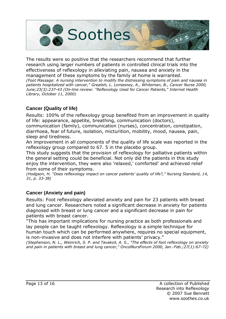

The results were so positive that the researchers recommend that further research using larger numbers of patients in controlled clinical trials into the effectiveness of reflexology in alleviating pain, nausea and anxiety in the management of these symptoms by the family at home is warranted. (Foot Massage: A nursing intervention to modify the distressing symptoms of pain and nausea in patients hospitalized with cancer," Grealish, L. Lomasney, A., Whiteman, B., Cancer Nurse 2000, June;23(3):237-43 (On-line review: "Reflexology Used for Cancer Patients," Internet Health Library, October 11, 2000)

#### **Cancer (Quality of life)**

Results: 100% of the reflexology group benefited from an improvement in quality of life: appearance, appetite, breathing, communication (doctors),

communication (family), communication (nurses), concentration, constipation, diarrhoea, fear of future, isolation, micturition, mobility, mood, nausea, pain, sleep and tiredness.

An improvement in all components of the quality of life scale was reported in the reflexology group compared to 67. 5 in the placebo group.

This study suggests that the provision of reflexology for palliative patients within the general setting could be beneficial. Not only did the patients in this study enjoy the intervention, they were also 'relaxed,' comforted' and achieved relief from some of their symptoms.

(Hodgson, H. "Does reflexology impact on cancer patients' quality of life?," Nursing Standard, 14, 31, p. 33-38)

#### **Cancer (Anxiety and pain)**

Results: Foot reflexology alleviated anxiety and pain for 23 patients with breast and lung cancer. Researchers noted a significant decrease in anxiety for patients diagnosed with breast or lung cancer and a significant decrease in pain for patients with breast cancer.

"This has important implications for nursing practice as both professionals and lay people can be taught reflexology. Reflexology is a simple technique for human touch which can be performed anywhere, requires no special equipment, is non-invasive and does not interfere with patients' privacy."

(Stephenson, N. L., Weinrich, S. P. and Tavakoli, A. S., "The effects of foot reflexology on anxiety and pain in patients with breast and lung cancer," OncolNursForum 2000, Jan.-Feb.;27(1):67-72)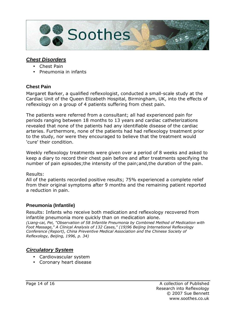

#### **Chest Disorders**

- Chest Pain
- Pneumonia in infants

#### **Chest Pain**

Margaret Barker, a qualified reflexologist, conducted a small-scale study at the Cardiac Unit of the Queen Elizabeth Hospital, Birmingham, UK, into the effects of reflexology on a group of 4 patients suffering from chest pain.

The patients were referred from a consultant; all had experienced pain for periods ranging between 18 months to 13 years and cardiac catheterizations revealed that none of the patients had any identifiable disease of the cardiac arteries. Furthermore, none of the patients had had reflexology treatment prior to the study, nor were they encouraged to believe that the treatment would 'cure' their condition.

Weekly reflexology treatments were given over a period of 8 weeks and asked to keep a diary to record their chest pain before and after treatments specifying the number of pain episodes;the intensity of the pain;and,the duration of the pain.

#### Results:

All of the patients recorded positive results; 75% experienced a complete relief from their original symptoms after 9 months and the remaining patient reported a reduction in pain.

#### **Pneumonia (Infantile)**

Results: Infants who receive both medication and reflexology recovered from infantile pneumonia more quickly than on medication alone. (Liang-cai, Pei, "Observation of 58 Infantile Pneumonia by Combined Method of Medication with Foot Massage," A Clinical Analysis of 132 Cases," (19)96 Beijing International Reflexology Conference (Report), China Preventive Medical Association and the Chinese Society of Reflexology, Beijing, 1996, p. 34)

#### **Circulatory System**

- Cardiovascular system
- Coronary heart disease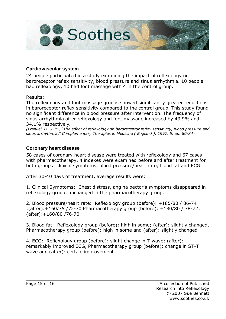

#### **Cardiovascular system**

24 people participated in a study examining the impact of reflexology on baroreceptor reflex sensitivity, blood pressure and sinus arrhythmia. 10 people had reflexology, 10 had foot massage with 4 in the control group.

Results:

The reflexology and foot massage groups showed significantly greater reductions in baroreceptor reflex sensitivity compared to the control group. This study found no significant difference in blood pressure after intervention. The frequency of sinus arrhythmia after reflexology and foot massage increased by 43.9% and 34.1% respectively.

(Frankel, B. S. M., "The effect of reflexology on baroreceptor reflex sensitivity, blood pressure and sinus arrhythmia," Complementary Therapies in Medicine ( England ), 1997, 5, pp. 80-84)

#### **Coronary heart disease**

58 cases of coronary heart disease were treated with reflexology and 67 cases with pharmacotherapy. 4 indexes were examined before and after treatment for both groups: clinical symptoms, blood pressure/heart rate, blood fat and ECG.

After 30-40 days of treatment, average results were:

1. Clinical Symptoms: Chest distress, angina pectoris symptoms disappeared in reflexology group, unchanged in the pharmacotherapy group.

2. Blood pressure/heart rate: Reflexology group (before): +185/80 / 86-74 ;(after):+160/75 /72-70 Pharmacotherapy group (before): +180/80 / 78-72; (after):+160/80 /76-70

3. Blood fat: Reflexology group (before): high in some; (after): slightly changed, Pharmacotherapy group (before): high in some and (after): slightly changed

4. ECG: Reflexology group (before): slight change in T-wave; (after): remarkably improved ECG, Pharmacotherapy group (before): change in ST-T wave and (after): certain improvement.